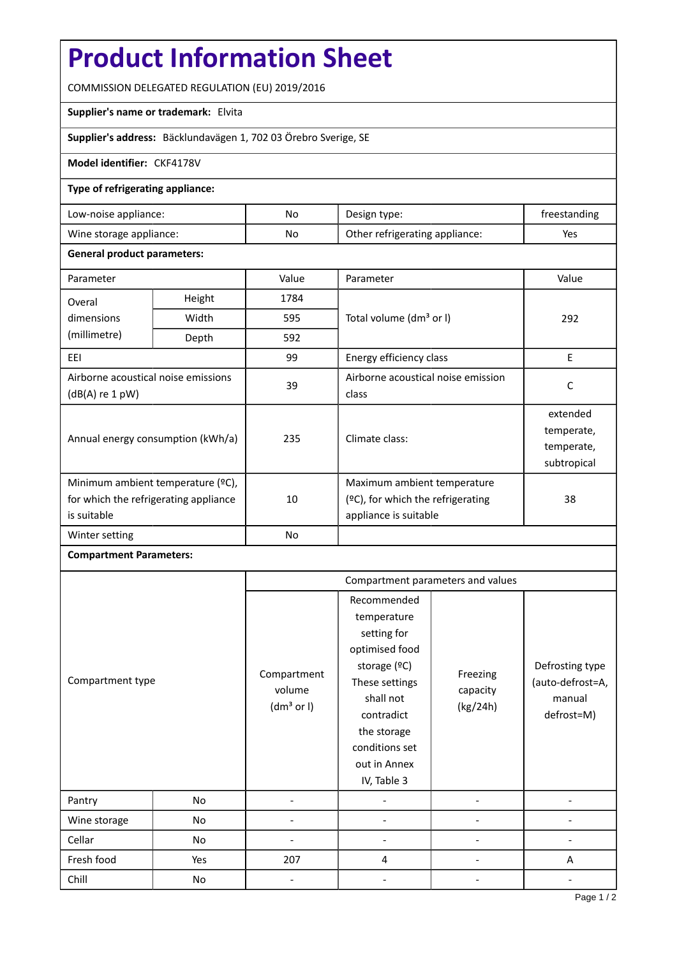# **Product Information Sheet**

COMMISSION DELEGATED REGULATION (EU) 2019/2016

## **Supplier's name or trademark:** Elvita

**Supplier's address:** Bäcklundavägen 1, 702 03 Örebro Sverige, SE

#### **Model identifier:** CKF4178V

#### **Type of refrigerating appliance:**

| Low-noise appliance:    | No | Design type:                   | freestanding |
|-------------------------|----|--------------------------------|--------------|
| Wine storage appliance: | No | Other refrigerating appliance: | Yes          |

#### **General product parameters:**

| Parameter                                                                                 |       | Value          | Parameter                                                                                    | Value                                               |
|-------------------------------------------------------------------------------------------|-------|----------------|----------------------------------------------------------------------------------------------|-----------------------------------------------------|
| Height<br>Overal                                                                          |       | 1784           |                                                                                              |                                                     |
| dimensions<br>(millimetre)                                                                | Width | 595            | Total volume (dm <sup>3</sup> or I)                                                          | 292                                                 |
|                                                                                           | Depth | 592            |                                                                                              |                                                     |
| EEI                                                                                       |       | 99             | Energy efficiency class                                                                      | E                                                   |
| Airborne acoustical noise emissions<br>(dB(A) re 1 pW)                                    |       | 39             | Airborne acoustical noise emission<br>class                                                  | C                                                   |
| Annual energy consumption (kWh/a)                                                         |       | 235            | Climate class:                                                                               | extended<br>temperate,<br>temperate,<br>subtropical |
| Minimum ambient temperature (°C),<br>for which the refrigerating appliance<br>is suitable |       | 10             | Maximum ambient temperature<br>$(°C)$ , for which the refrigerating<br>appliance is suitable | 38                                                  |
| Winter setting                                                                            |       | N <sub>o</sub> |                                                                                              |                                                     |

## **Compartment Parameters:**

|                  |     | Compartment parameters and values               |                                                                                                                                                                                          |                                  |                                                             |
|------------------|-----|-------------------------------------------------|------------------------------------------------------------------------------------------------------------------------------------------------------------------------------------------|----------------------------------|-------------------------------------------------------------|
| Compartment type |     | Compartment<br>volume<br>(dm <sup>3</sup> or I) | Recommended<br>temperature<br>setting for<br>optimised food<br>storage (°C)<br>These settings<br>shall not<br>contradict<br>the storage<br>conditions set<br>out in Annex<br>IV, Table 3 | Freezing<br>capacity<br>(kg/24h) | Defrosting type<br>(auto-defrost=A,<br>manual<br>defrost=M) |
| Pantry           | No  |                                                 |                                                                                                                                                                                          |                                  |                                                             |
| Wine storage     | No  |                                                 |                                                                                                                                                                                          |                                  |                                                             |
| Cellar           | No  |                                                 |                                                                                                                                                                                          |                                  |                                                             |
| Fresh food       | Yes | 207                                             | 4                                                                                                                                                                                        |                                  | A                                                           |
| Chill            | No  |                                                 |                                                                                                                                                                                          |                                  |                                                             |